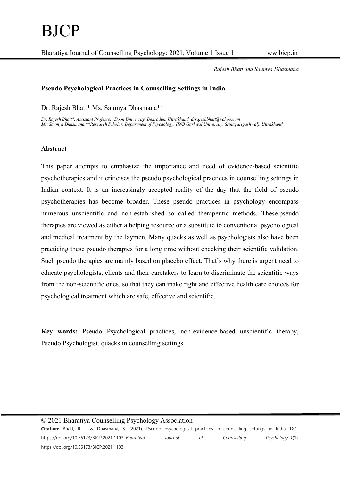Rajesh Bhatt and Saumya Dhasmana

## Pseudo Psychological Practices in Counselling Settings in India

Dr. Rajesh Bhatt\* Ms. Saumya Dhasmana\*\*

Dr. Rajesh Bhatt\*, Assistant Professor, Doon University, Dehradun, Uttrakhand. drrajeshbhatt@yahoo.com Ms. Saumya Dhasmana,\*\*Research Scholar, Department of Psychology, HNB Garhwal University, Srinagar(garhwal), Uttrakhand

## Abstract

This paper attempts to emphasize the importance and need of evidence-based scientific psychotherapies and it criticises the pseudo psychological practices in counselling settings in Indian context. It is an increasingly accepted reality of the day that the field of pseudo psychotherapies has become broader. These pseudo practices in psychology encompass numerous unscientific and non-established so called therapeutic methods. These pseudo therapies are viewed as either a helping resource or a substitute to conventional psychological and medical treatment by the laymen. Many quacks as well as psychologists also have been practicing these pseudo therapies for a long time without checking their scientific validation. Such pseudo therapies are mainly based on placebo effect. That's why there is urgent need to educate psychologists, clients and their caretakers to learn to discriminate the scientific ways from the non-scientific ones, so that they can make right and effective health care choices for psychological treatment which are safe, effective and scientific.

Key words: Pseudo Psychological practices, non-evidence-based unscientific therapy, Pseudo Psychologist, quacks in counselling settings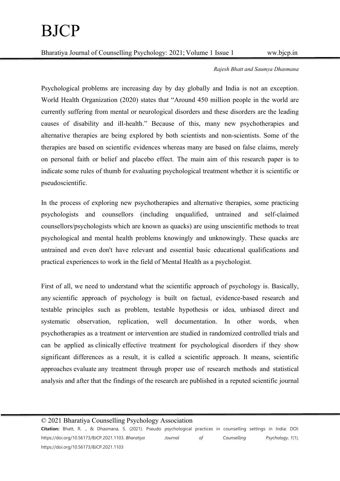#### Rajesh Bhatt and Saumya Dhasmana

Psychological problems are increasing day by day globally and India is not an exception. World Health Organization (2020) states that "Around 450 million people in the world are currently suffering from mental or neurological disorders and these disorders are the leading causes of disability and ill-health." Because of this, many new psychotherapies and alternative therapies are being explored by both scientists and non-scientists. Some of the therapies are based on scientific evidences whereas many are based on false claims, merely on personal faith or belief and placebo effect. The main aim of this research paper is to indicate some rules of thumb for evaluating psychological treatment whether it is scientific or pseudoscientific.

In the process of exploring new psychotherapies and alternative therapies, some practicing psychologists and counsellors (including unqualified, untrained and self-claimed counsellors/psychologists which are known as quacks) are using unscientific methods to treat psychological and mental health problems knowingly and unknowingly. These quacks are untrained and even don't have relevant and essential basic educational qualifications and practical experiences to work in the field of Mental Health as a psychologist.

First of all, we need to understand what the scientific approach of psychology is. Basically, any scientific approach of psychology is built on factual, evidence-based research and testable principles such as problem, testable hypothesis or idea, unbiased direct and systematic observation, replication, well documentation. In other words, when psychotherapies as a treatment or intervention are studied in randomized controlled trials and can be applied as clinically effective treatment for psychological disorders if they show significant differences as a result, it is called a scientific approach. It means, scientific approaches evaluate any treatment through proper use of research methods and statistical analysis and after that the findings of the research are published in a reputed scientific journal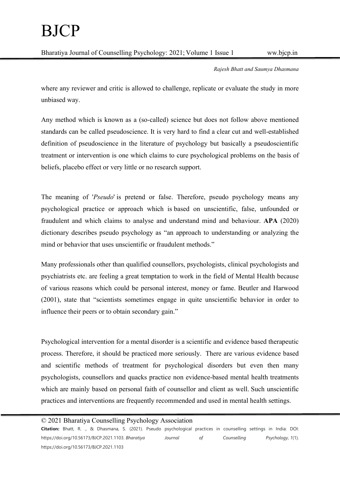# BJCP

Bharatiya Journal of Counselling Psychology: 2021; Volume 1 Issue 1 ww.bjcp.in

Rajesh Bhatt and Saumya Dhasmana

where any reviewer and critic is allowed to challenge, replicate or evaluate the study in more unbiased way.

Any method which is known as a (so-called) science but does not follow above mentioned standards can be called pseudoscience. It is very hard to find a clear cut and well-established definition of pseudoscience in the literature of psychology but basically a pseudoscientific treatment or intervention is one which claims to cure psychological problems on the basis of beliefs, placebo effect or very little or no research support.

The meaning of 'Pseudo' is pretend or false. Therefore, pseudo psychology means any psychological practice or approach which is based on unscientific, false, unfounded or fraudulent and which claims to analyse and understand mind and behaviour. APA (2020) dictionary describes pseudo psychology as "an approach to understanding or analyzing the mind or behavior that uses unscientific or fraudulent methods."

Many professionals other than qualified counsellors, psychologists, clinical psychologists and psychiatrists etc. are feeling a great temptation to work in the field of Mental Health because of various reasons which could be personal interest, money or fame. Beutler and Harwood (2001), state that "scientists sometimes engage in quite unscientific behavior in order to influence their peers or to obtain secondary gain."

Psychological intervention for a mental disorder is a scientific and evidence based therapeutic process. Therefore, it should be practiced more seriously. There are various evidence based and scientific methods of treatment for psychological disorders but even then many psychologists, counsellors and quacks practice non evidence-based mental health treatments which are mainly based on personal faith of counsellor and client as well. Such unscientific practices and interventions are frequently recommended and used in mental health settings.

## © 2021 Bharatiya Counselling Psychology Association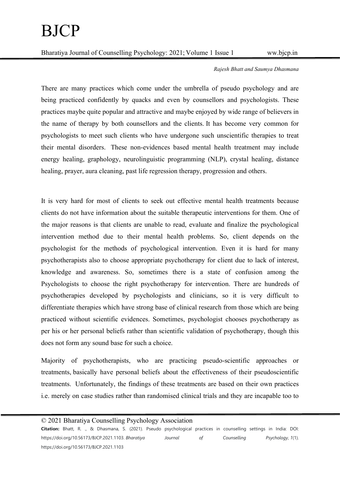#### Rajesh Bhatt and Saumya Dhasmana

There are many practices which come under the umbrella of pseudo psychology and are being practiced confidently by quacks and even by counsellors and psychologists. These practices maybe quite popular and attractive and maybe enjoyed by wide range of believers in the name of therapy by both counsellors and the clients. It has become very common for psychologists to meet such clients who have undergone such unscientific therapies to treat their mental disorders. These non-evidences based mental health treatment may include energy healing, graphology, neurolinguistic programming (NLP), crystal healing, distance healing, prayer, aura cleaning, past life regression therapy, progression and others.

It is very hard for most of clients to seek out effective mental health treatments because clients do not have information about the suitable therapeutic interventions for them. One of the major reasons is that clients are unable to read, evaluate and finalize the psychological intervention method due to their mental health problems. So, client depends on the psychologist for the methods of psychological intervention. Even it is hard for many psychotherapists also to choose appropriate psychotherapy for client due to lack of interest, knowledge and awareness. So, sometimes there is a state of confusion among the Psychologists to choose the right psychotherapy for intervention. There are hundreds of psychotherapies developed by psychologists and clinicians, so it is very difficult to differentiate therapies which have strong base of clinical research from those which are being practiced without scientific evidences. Sometimes, psychologist chooses psychotherapy as per his or her personal beliefs rather than scientific validation of psychotherapy, though this does not form any sound base for such a choice.

Majority of psychotherapists, who are practicing pseudo-scientific approaches or treatments, basically have personal beliefs about the effectiveness of their pseudoscientific treatments. Unfortunately, the findings of these treatments are based on their own practices i.e. merely on case studies rather than randomised clinical trials and they are incapable too to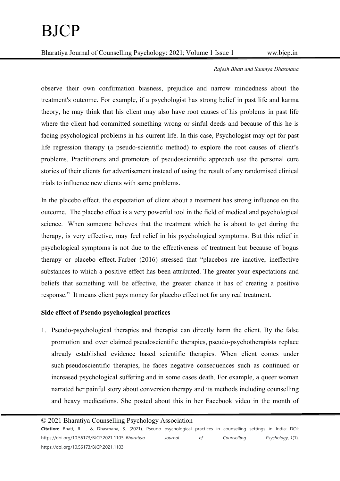#### Rajesh Bhatt and Saumya Dhasmana

observe their own confirmation biasness, prejudice and narrow mindedness about the treatment's outcome. For example, if a psychologist has strong belief in past life and karma theory, he may think that his client may also have root causes of his problems in past life where the client had committed something wrong or sinful deeds and because of this he is facing psychological problems in his current life. In this case, Psychologist may opt for past life regression therapy (a pseudo-scientific method) to explore the root causes of client's problems. Practitioners and promoters of pseudoscientific approach use the personal cure stories of their clients for advertisement instead of using the result of any randomised clinical trials to influence new clients with same problems.

In the placebo effect, the expectation of client about a treatment has strong influence on the outcome. The placebo effect is a very powerful tool in the field of medical and psychological science. When someone believes that the treatment which he is about to get during the therapy, is very effective, may feel relief in his psychological symptoms. But this relief in psychological symptoms is not due to the effectiveness of treatment but because of bogus therapy or placebo effect. Farber (2016) stressed that "placebos are inactive, ineffective substances to which a positive effect has been attributed. The greater your expectations and beliefs that something will be effective, the greater chance it has of creating a positive response." It means client pays money for placebo effect not for any real treatment.

## Side effect of Pseudo psychological practices

1. Pseudo-psychological therapies and therapist can directly harm the client. By the false promotion and over claimed pseudoscientific therapies, pseudo-psychotherapists replace already established evidence based scientific therapies. When client comes under such pseudoscientific therapies, he faces negative consequences such as continued or increased psychological suffering and in some cases death. For example, a queer woman narrated her painful story about conversion therapy and its methods including counselling and heavy medications. She posted about this in her Facebook video in the month of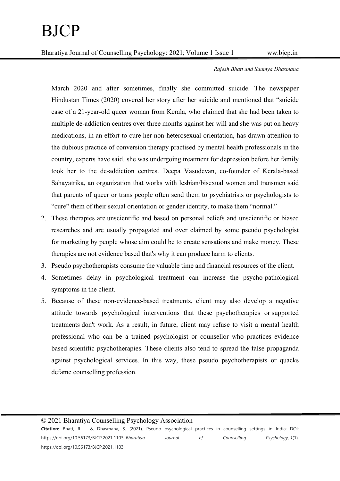## Rajesh Bhatt and Saumya Dhasmana

March 2020 and after sometimes, finally she committed suicide. The newspaper Hindustan Times (2020) covered her story after her suicide and mentioned that "suicide case of a 21-year-old queer woman from Kerala, who claimed that she had been taken to multiple de-addiction centres over three months against her will and she was put on heavy medications, in an effort to cure her non-heterosexual orientation, has drawn attention to the dubious practice of conversion therapy practised by mental health professionals in the country, experts have said. she was undergoing treatment for depression before her family took her to the de-addiction centres. Deepa Vasudevan, co-founder of Kerala-based Sahayatrika, an organization that works with lesbian/bisexual women and transmen said that parents of queer or trans people often send them to psychiatrists or psychologists to "cure" them of their sexual orientation or gender identity, to make them "normal."

- 2. These therapies are unscientific and based on personal beliefs and unscientific or biased researches and are usually propagated and over claimed by some pseudo psychologist for marketing by people whose aim could be to create sensations and make money. These therapies are not evidence based that's why it can produce harm to clients.
- 3. Pseudo psychotherapists consume the valuable time and financial resources of the client.
- 4. Sometimes delay in psychological treatment can increase the psycho-pathological symptoms in the client.
- 5. Because of these non-evidence-based treatments, client may also develop a negative attitude towards psychological interventions that these psychotherapies or supported treatments don't work. As a result, in future, client may refuse to visit a mental health professional who can be a trained psychologist or counsellor who practices evidence based scientific psychotherapies. These clients also tend to spread the false propaganda against psychological services. In this way, these pseudo psychotherapists or quacks defame counselling profession.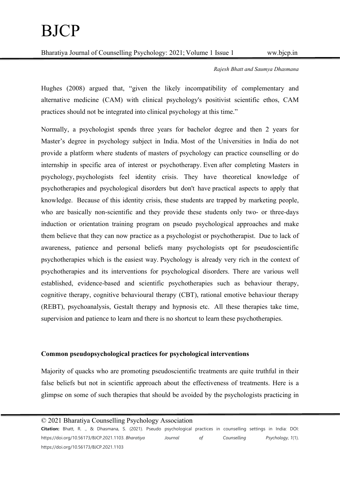#### Rajesh Bhatt and Saumya Dhasmana

Hughes (2008) argued that, "given the likely incompatibility of complementary and alternative medicine (CAM) with clinical psychology's positivist scientific ethos, CAM practices should not be integrated into clinical psychology at this time."

Normally, a psychologist spends three years for bachelor degree and then 2 years for Master's degree in psychology subject in India. Most of the Universities in India do not provide a platform where students of masters of psychology can practice counselling or do internship in specific area of interest or psychotherapy. Even after completing Masters in psychology, psychologists feel identity crisis. They have theoretical knowledge of psychotherapies and psychological disorders but don't have practical aspects to apply that knowledge. Because of this identity crisis, these students are trapped by marketing people, who are basically non-scientific and they provide these students only two- or three-days induction or orientation training program on pseudo psychological approaches and make them believe that they can now practice as a psychologist or psychotherapist. Due to lack of awareness, patience and personal beliefs many psychologists opt for pseudoscientific psychotherapies which is the easiest way. Psychology is already very rich in the context of psychotherapies and its interventions for psychological disorders. There are various well established, evidence-based and scientific psychotherapies such as behaviour therapy, cognitive therapy, cognitive behavioural therapy (CBT), rational emotive behaviour therapy (REBT), psychoanalysis, Gestalt therapy and hypnosis etc. All these therapies take time, supervision and patience to learn and there is no shortcut to learn these psychotherapies.

## Common pseudopsychological practices for psychological interventions

Majority of quacks who are promoting pseudoscientific treatments are quite truthful in their false beliefs but not in scientific approach about the effectiveness of treatments. Here is a glimpse on some of such therapies that should be avoided by the psychologists practicing in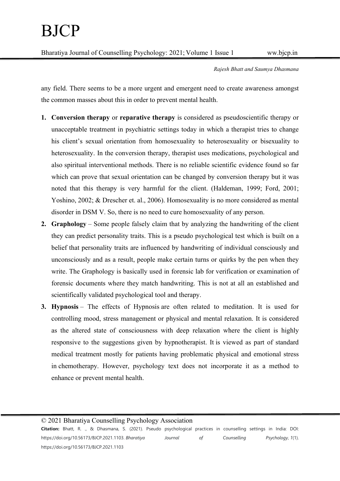Rajesh Bhatt and Saumya Dhasmana

any field. There seems to be a more urgent and emergent need to create awareness amongst the common masses about this in order to prevent mental health.

- 1. Conversion therapy or reparative therapy is considered as pseudoscientific therapy or unacceptable treatment in psychiatric settings today in which a therapist tries to change his client's sexual orientation from homosexuality to heterosexuality or bisexuality to heterosexuality. In the conversion therapy, therapist uses medications, psychological and also spiritual interventional methods. There is no reliable scientific evidence found so far which can prove that sexual orientation can be changed by conversion therapy but it was noted that this therapy is very harmful for the client. (Haldeman, 1999; Ford, 2001; Yoshino, 2002; & Drescher et. al., 2006). Homosexuality is no more considered as mental disorder in DSM V. So, there is no need to cure homosexuality of any person.
- 2. Graphology Some people falsely claim that by analyzing the handwriting of the client they can predict personality traits. This is a pseudo psychological test which is built on a belief that personality traits are influenced by handwriting of individual consciously and unconsciously and as a result, people make certain turns or quirks by the pen when they write. The Graphology is basically used in forensic lab for verification or examination of forensic documents where they match handwriting. This is not at all an established and scientifically validated psychological tool and therapy.
- 3. Hypnosis The effects of Hypnosis are often related to meditation. It is used for controlling mood, stress management or physical and mental relaxation. It is considered as the altered state of consciousness with deep relaxation where the client is highly responsive to the suggestions given by hypnotherapist. It is viewed as part of standard medical treatment mostly for patients having problematic physical and emotional stress in chemotherapy. However, psychology text does not incorporate it as a method to enhance or prevent mental health.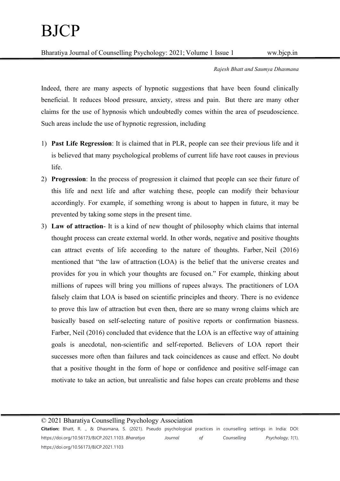Rajesh Bhatt and Saumya Dhasmana

Indeed, there are many aspects of hypnotic suggestions that have been found clinically beneficial. It reduces blood pressure, anxiety, stress and pain. But there are many other claims for the use of hypnosis which undoubtedly comes within the area of pseudoscience. Such areas include the use of hypnotic regression, including

- 1) Past Life Regression: It is claimed that in PLR, people can see their previous life and it is believed that many psychological problems of current life have root causes in previous life.
- 2) Progression: In the process of progression it claimed that people can see their future of this life and next life and after watching these, people can modify their behaviour accordingly. For example, if something wrong is about to happen in future, it may be prevented by taking some steps in the present time.
- 3) Law of attraction- It is a kind of new thought of philosophy which claims that internal thought process can create external world. In other words, negative and positive thoughts can attract events of life according to the nature of thoughts. Farber, Neil (2016) mentioned that "the law of attraction (LOA) is the belief that the universe creates and provides for you in which your thoughts are focused on." For example, thinking about millions of rupees will bring you millions of rupees always. The practitioners of LOA falsely claim that LOA is based on scientific principles and theory. There is no evidence to prove this law of attraction but even then, there are so many wrong claims which are basically based on self-selecting nature of positive reports or confirmation biasness. Farber, Neil (2016) concluded that evidence that the LOA is an effective way of attaining goals is anecdotal, non-scientific and self-reported. Believers of LOA report their successes more often than failures and tack coincidences as cause and effect. No doubt that a positive thought in the form of hope or confidence and positive self-image can motivate to take an action, but unrealistic and false hopes can create problems and these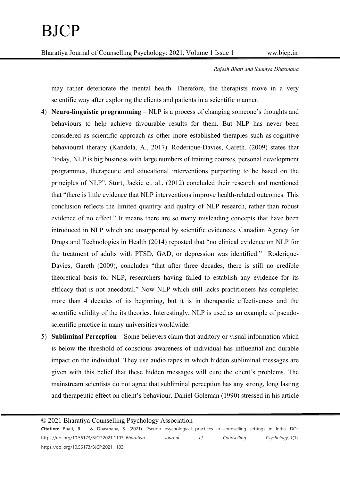Rajesh Bhatt and Saumya Dhasmana

may rather deteriorate the mental health. Therefore, the therapists move in a very scientific way after exploring the clients and patients in a scientific manner.

- 4) Neuro-linguistic programming NLP is a process of changing someone's thoughts and behaviours to help achieve favourable results for them. But NLP has never been considered as scientific approach as other more established therapies such as cognitive behavioural therapy (Kandola, A., 2017). Roderique-Davies, Gareth. (2009) states that "today, NLP is big business with large numbers of training courses, personal development programmes, therapeutic and educational interventions purporting to be based on the principles of NLP". Sturt, Jackie et. al., (2012) concluded their research and mentioned that "there is little evidence that NLP interventions improve health-related outcomes. This conclusion reflects the limited quantity and quality of NLP research, rather than robust evidence of no effect." It means there are so many misleading concepts that have been introduced in NLP which are unsupported by scientific evidences. Canadian Agency for Drugs and Technologies in Health (2014) reposted that "no clinical evidence on NLP for the treatment of adults with PTSD, GAD, or depression was identified." Roderique-Davies, Gareth (2009), concludes "that after three decades, there is still no credible theoretical basis for NLP, researchers having failed to establish any evidence for its efficacy that is not anecdotal." Now NLP which still lacks practitioners has completed more than 4 decades of its beginning, but it is in therapeutic effectiveness and the scientific validity of the its theories. Interestingly, NLP is used as an example of pseudoscientific practice in many universities worldwide.
- 5) Subliminal Perception Some believers claim that auditory or visual information which is below the threshold of conscious awareness of individual has influential and durable impact on the individual. They use audio tapes in which hidden subliminal messages are given with this belief that these hidden messages will cure the client's problems. The mainstream scientists do not agree that subliminal perception has any strong, long lasting and therapeutic effect on client's behaviour. Daniel Goleman (1990) stressed in his article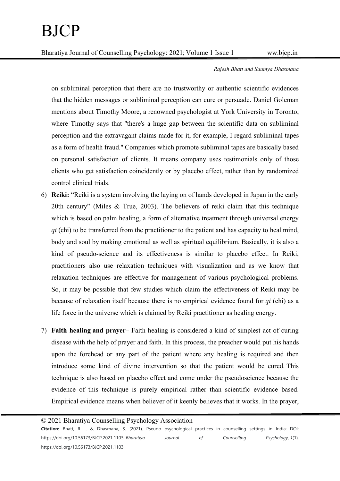Rajesh Bhatt and Saumya Dhasmana

on subliminal perception that there are no trustworthy or authentic scientific evidences that the hidden messages or subliminal perception can cure or persuade. Daniel Goleman mentions about Timothy Moore, a renowned psychologist at York University in Toronto, where Timothy says that ''there's a huge gap between the scientific data on subliminal perception and the extravagant claims made for it, for example, I regard subliminal tapes as a form of health fraud.'' Companies which promote subliminal tapes are basically based on personal satisfaction of clients. It means company uses testimonials only of those clients who get satisfaction coincidently or by placebo effect, rather than by randomized control clinical trials.

- 6) Reiki: "Reiki is a system involving the laying on of hands developed in Japan in the early 20th century" (Miles & True, 2003). The believers of reiki claim that this technique which is based on palm healing, a form of alternative treatment through universal energy  $qi$  (chi) to be transferred from the practitioner to the patient and has capacity to heal mind, body and soul by making emotional as well as spiritual equilibrium. Basically, it is also a kind of pseudo-science and its effectiveness is similar to placebo effect. In Reiki, practitioners also use relaxation techniques with visualization and as we know that relaxation techniques are effective for management of various psychological problems. So, it may be possible that few studies which claim the effectiveness of Reiki may be because of relaxation itself because there is no empirical evidence found for qi (chi) as a life force in the universe which is claimed by Reiki practitioner as healing energy.
- 7) Faith healing and prayer– Faith healing is considered a kind of simplest act of curing disease with the help of prayer and faith. In this process, the preacher would put his hands upon the forehead or any part of the patient where any healing is required and then introduce some kind of divine intervention so that the patient would be cured. This technique is also based on placebo effect and come under the pseudoscience because the evidence of this technique is purely empirical rather than scientific evidence based. Empirical evidence means when believer of it keenly believes that it works. In the prayer,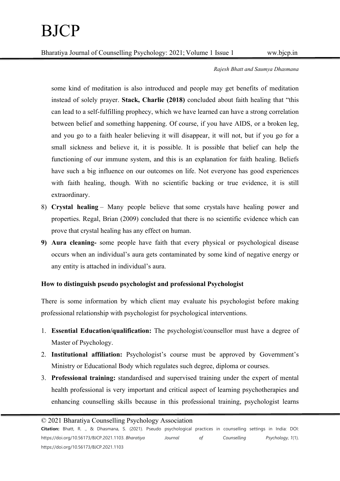## Rajesh Bhatt and Saumya Dhasmana

some kind of meditation is also introduced and people may get benefits of meditation instead of solely prayer. Stack, Charlie (2018) concluded about faith healing that "this can lead to a self-fulfilling prophecy, which we have learned can have a strong correlation between belief and something happening. Of course, if you have AIDS, or a broken leg, and you go to a faith healer believing it will disappear, it will not, but if you go for a small sickness and believe it, it is possible. It is possible that belief can help the functioning of our immune system, and this is an explanation for faith healing. Beliefs have such a big influence on our outcomes on life. Not everyone has good experiences with faith healing, though. With no scientific backing or true evidence, it is still extraordinary.

- 8) Crystal healing Many people believe that some crystals have healing power and properties. Regal, Brian (2009) concluded that there is no scientific evidence which can prove that crystal healing has any effect on human.
- 9) Aura cleaning- some people have faith that every physical or psychological disease occurs when an individual's aura gets contaminated by some kind of negative energy or any entity is attached in individual's aura.

## How to distinguish pseudo psychologist and professional Psychologist

There is some information by which client may evaluate his psychologist before making professional relationship with psychologist for psychological interventions.

- 1. Essential Education/qualification: The psychologist/counsellor must have a degree of Master of Psychology.
- 2. Institutional affiliation: Psychologist's course must be approved by Government's Ministry or Educational Body which regulates such degree, diploma or courses.
- 3. Professional training: standardised and supervised training under the expert of mental health professional is very important and critical aspect of learning psychotherapies and enhancing counselling skills because in this professional training, psychologist learns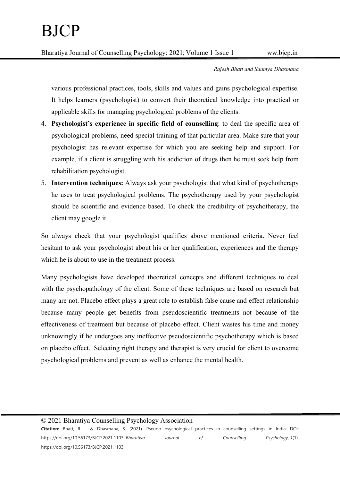Rajesh Bhatt and Saumya Dhasmana

various professional practices, tools, skills and values and gains psychological expertise. It helps learners (psychologist) to convert their theoretical knowledge into practical or applicable skills for managing psychological problems of the clients.

- 4. Psychologist's experience in specific field of counselling: to deal the specific area of psychological problems, need special training of that particular area. Make sure that your psychologist has relevant expertise for which you are seeking help and support. For example, if a client is struggling with his addiction of drugs then he must seek help from rehabilitation psychologist.
- 5. Intervention techniques: Always ask your psychologist that what kind of psychotherapy he uses to treat psychological problems. The psychotherapy used by your psychologist should be scientific and evidence based. To check the credibility of psychotherapy, the client may google it.

So always check that your psychologist qualifies above mentioned criteria. Never feel hesitant to ask your psychologist about his or her qualification, experiences and the therapy which he is about to use in the treatment process.

Many psychologists have developed theoretical concepts and different techniques to deal with the psychopathology of the client. Some of these techniques are based on research but many are not. Placebo effect plays a great role to establish false cause and effect relationship because many people get benefits from pseudoscientific treatments not because of the effectiveness of treatment but because of placebo effect. Client wastes his time and money unknowingly if he undergoes any ineffective pseudoscientific psychotherapy which is based on placebo effect. Selecting right therapy and therapist is very crucial for client to overcome psychological problems and prevent as well as enhance the mental health.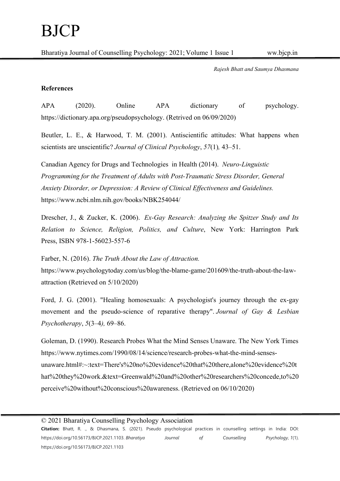Rajesh Bhatt and Saumya Dhasmana

## References

APA (2020). Online APA dictionary of psychology. https://dictionary.apa.org/pseudopsychology. (Retrived on 06/09/2020)

Beutler, L. E., & Harwood, T. M. (2001). Antiscientific attitudes: What happens when scientists are unscientific? Journal of Clinical Psychology, 57(1), 43–51.

Canadian Agency for Drugs and Technologies in Health (2014). Neuro-Linguistic Programming for the Treatment of Adults with Post-Traumatic Stress Disorder, General Anxiety Disorder, or Depression: A Review of Clinical Effectiveness and Guidelines. https://www.ncbi.nlm.nih.gov/books/NBK254044/

Drescher, J., & Zucker, K. (2006). Ex-Gay Research: Analyzing the Spitzer Study and Its Relation to Science, Religion, Politics, and Culture, New York: Harrington Park Press, ISBN 978-1-56023-557-6

Farber, N. (2016). The Truth About the Law of Attraction.

https://www.psychologytoday.com/us/blog/the-blame-game/201609/the-truth-about-the-lawattraction (Retrieved on 5/10/2020)

Ford, J. G. (2001). "Healing homosexuals: A psychologist's journey through the ex-gay movement and the pseudo-science of reparative therapy". Journal of Gay & Lesbian Psychotherapy, 5(3–4), 69–86.

Goleman, D. (1990). Research Probes What the Mind Senses Unaware. The New York Times https://www.nytimes.com/1990/08/14/science/research-probes-what-the-mind-sensesunaware.html#:~:text=There's%20no%20evidence%20that%20there,alone%20evidence%20t hat%20they%20work.&text=Greenwald%20and%20other%20researchers%20concede,to%20 perceive%20without%20conscious%20awareness. (Retrieved on 06/10/2020)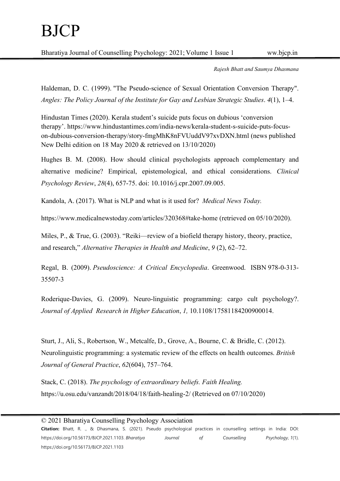Rajesh Bhatt and Saumya Dhasmana

Haldeman, D. C. (1999). "The Pseudo-science of Sexual Orientation Conversion Therapy". Angles: The Policy Journal of the Institute for Gay and Lesbian Strategic Studies. 4(1), 1–4.

Hindustan Times (2020). Kerala student's suicide puts focus on dubious 'conversion therapy'. https://www.hindustantimes.com/india-news/kerala-student-s-suicide-puts-focuson-dubious-conversion-therapy/story-fmgMhK8nFVUuddV97xvDXN.html (news published New Delhi edition on 18 May 2020 & retrieved on 13/10/2020)

Hughes B. M. (2008). How should clinical psychologists approach complementary and alternative medicine? Empirical, epistemological, and ethical considerations. Clinical Psychology Review, 28(4), 657-75. doi: 10.1016/j.cpr.2007.09.005.

Kandola, A. (2017). What is NLP and what is it used for? Medical News Today.

https://www.medicalnewstoday.com/articles/320368#take-home (retrieved on 05/10/2020).

Miles, P., & True, G. (2003). "Reiki—review of a biofield therapy history, theory, practice, and research," Alternative Therapies in Health and Medicine, 9 (2), 62–72.

Regal, B. (2009). Pseudoscience: A Critical Encyclopedia. Greenwood. ISBN 978-0-313- 35507-3

Roderique-Davies, G. (2009). Neuro-linguistic programming: cargo cult psychology?. Journal of Applied Research in Higher Education, 1, 10.1108/17581184200900014.

Sturt, J., Ali, S., Robertson, W., Metcalfe, D., Grove, A., Bourne, C. & Bridle, C. (2012). Neurolinguistic programming: a systematic review of the effects on health outcomes. British Journal of General Practice, 62(604), 757–764.

Stack, C. (2018). The psychology of extraordinary beliefs. Faith Healing. https://u.osu.edu/vanzandt/2018/04/18/faith-healing-2/ (Retrieved on 07/10/2020)